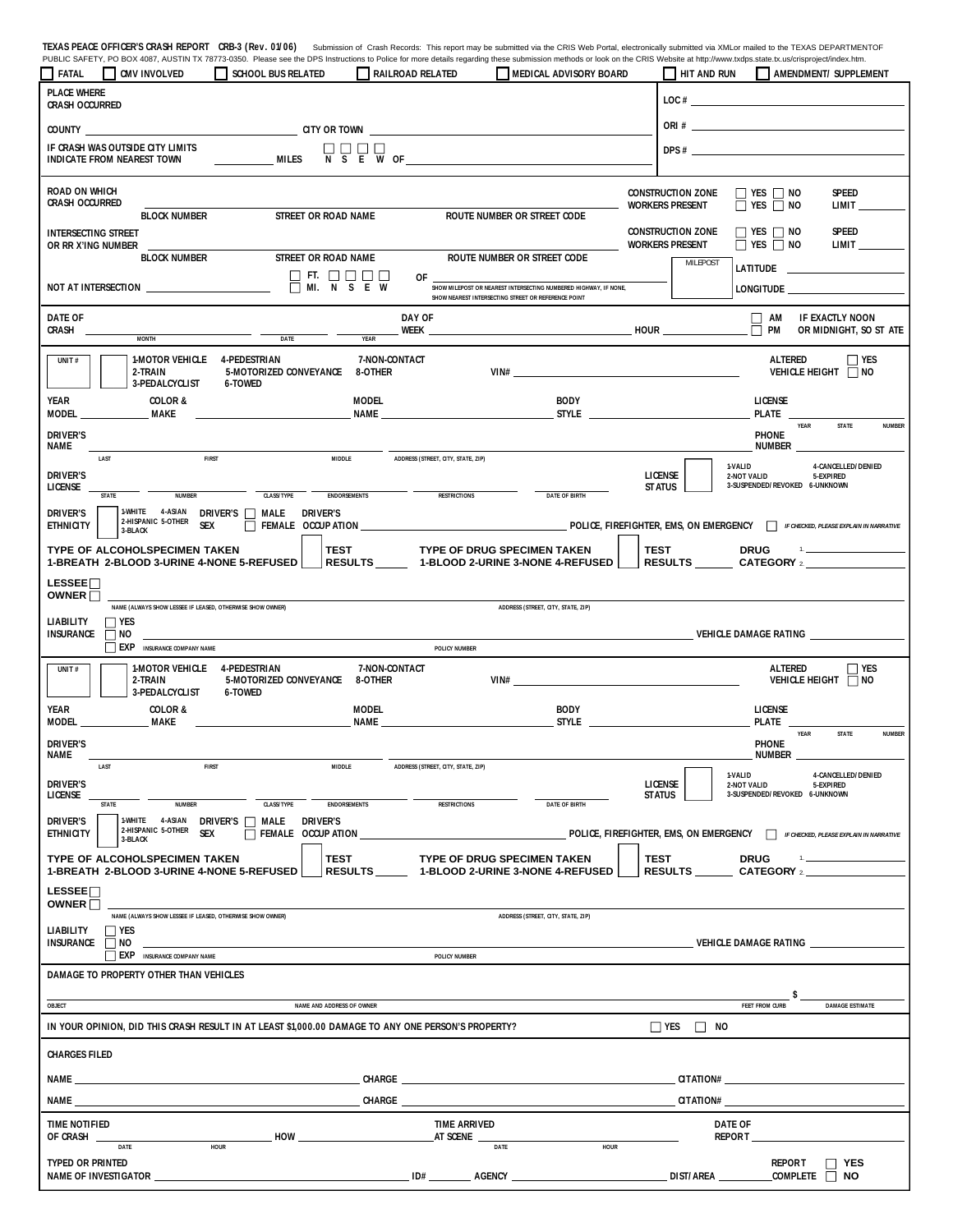TEXAS PEACE OFFICER'S CRASH REPORT CRB-3 (Rev. 01/06) Submission of Crash Records: This report may be submitted via the CRIS Web Portal, electronically submitted via XMLor mailed to the TEXAS DEPARTMENTOF<br>PUBLIC SAFETY, PO

|                                                                                                                                                                    | $\Box$ CMV INVOLVED                                                   | SCHOOL BUS RELATED                                                                                                                                                                                                                   | RAILROAD RELATED                                                              | MEDICAL ADVISORY BOARD                                                                                                                                                           |                                                    | HIT AND RUN AMENDMENT/ SUPPLEMENT                                                                                                       |  |  |  |  |  |  |
|--------------------------------------------------------------------------------------------------------------------------------------------------------------------|-----------------------------------------------------------------------|--------------------------------------------------------------------------------------------------------------------------------------------------------------------------------------------------------------------------------------|-------------------------------------------------------------------------------|----------------------------------------------------------------------------------------------------------------------------------------------------------------------------------|----------------------------------------------------|-----------------------------------------------------------------------------------------------------------------------------------------|--|--|--|--|--|--|
| <b>PLACE WHERE</b><br><b>CRASH OCCURRED</b>                                                                                                                        |                                                                       |                                                                                                                                                                                                                                      |                                                                               |                                                                                                                                                                                  |                                                    | $\text{LOC}$ #                                                                                                                          |  |  |  |  |  |  |
|                                                                                                                                                                    |                                                                       |                                                                                                                                                                                                                                      |                                                                               |                                                                                                                                                                                  |                                                    | $ORI \#$                                                                                                                                |  |  |  |  |  |  |
|                                                                                                                                                                    | IF CRASH WAS OUTSIDE CITY LIMITS<br><b>INDICATE FROM NEAREST TOWN</b> | MILES                                                                                                                                                                                                                                | $\overline{N}$ $\overline{S}$ $\overline{E}$ $\overline{W}$ of $\overline{S}$ |                                                                                                                                                                                  |                                                    | $DPS \#$                                                                                                                                |  |  |  |  |  |  |
| <b>ROAD ON WHICH</b><br>CRASH OCCURRED                                                                                                                             |                                                                       |                                                                                                                                                                                                                                      |                                                                               |                                                                                                                                                                                  | <b>CONSTRUCTION ZONE</b><br><b>WORKERS PRESENT</b> | $\Box$ YES $\Box$ NO<br><b>SPEED</b><br>$\Box$ YES $\Box$ NO<br><b>LIMIT</b>                                                            |  |  |  |  |  |  |
| <b>INTERSECTING STREET</b><br>OR RR X'ING NUMBER                                                                                                                   | <b>BLOCK NUMBER</b>                                                   | STREET OR ROAD NAME                                                                                                                                                                                                                  |                                                                               | ROUTE NUMBER OR STREET CODE                                                                                                                                                      | <b>CONSTRUCTION ZONE</b><br><b>WORKERS PRESENT</b> | <b>SPEED</b><br>$\Box$ YES $\Box$ NO<br>$\Box$ YES $\Box$ NO<br><b>LIMIT</b>                                                            |  |  |  |  |  |  |
|                                                                                                                                                                    | <b>BLOCK NUMBER</b>                                                   | STREET OR ROAD NAME<br>$\Box$ FT. $\Box$ $\Box$ $\Box$ $\Box$<br>$\overline{\Box}$ MI. $\overline{N}$ $\overline{S}$ E W                                                                                                             | OF                                                                            | ROUTE NUMBER OR STREET CODE<br>SHOW MILEPOST OR NEAREST INTERSECTING NUMBERED HIGHWAY, IF NONE,                                                                                  | <b>MILEPOST</b>                                    | <b>LONGITUDE</b>                                                                                                                        |  |  |  |  |  |  |
| DATE OF<br>CRASH                                                                                                                                                   |                                                                       |                                                                                                                                                                                                                                      | DAY OF<br>WEEK $\qquad \qquad$                                                | SHOW NEAREST INTERSECTING STREET OR REFERENCE POINT<br><b>EXAMPLE 2014 THE EXAMPLE 2014 THE EXAMPLE 2014 THE EXAMPLE 2014 THE EXAMPLE 2014 THE EXAMPLE 2014 THE EXAMPLE 2014</b> |                                                    | $\Box$ AM<br>IF EXACTLY NOON<br>PM<br>OR MIDNIGHT, SO ST ATE<br>П                                                                       |  |  |  |  |  |  |
| UNIT $#$                                                                                                                                                           | <b>MONTH</b><br>1-MOTOR VEHICLE 4-PEDESTRIAN                          | <b>DATE</b>                                                                                                                                                                                                                          | <b>YEAR</b><br>7-NON-CONTACT                                                  |                                                                                                                                                                                  |                                                    | ALTERED<br>$\Box$ YES                                                                                                                   |  |  |  |  |  |  |
|                                                                                                                                                                    | 2-TRAIN<br>3-PEDALCYCLIST                                             | 5-MOTORIZED CONVEYANCE 8-OTHER<br><b>6-TOWED</b>                                                                                                                                                                                     |                                                                               | VIN#                                                                                                                                                                             |                                                    | VEHICLE HEIGHT NO                                                                                                                       |  |  |  |  |  |  |
| YEAR<br>MODEL                                                                                                                                                      | <b>COLOR &amp;</b><br>MAKE                                            |                                                                                                                                                                                                                                      | <b>MODEL</b><br><b>NAME NAME</b>                                              | <b>BODY</b><br>$S$ TYLE $\qquad \qquad$                                                                                                                                          |                                                    | LICENSE<br>PLATE                                                                                                                        |  |  |  |  |  |  |
| <b>DRIVER'S</b><br>Name                                                                                                                                            | <b>FIRST</b>                                                          | MIDDLE                                                                                                                                                                                                                               | ADDRESS (STREET, CITY, STATE, ZIP)                                            |                                                                                                                                                                                  |                                                    | YEAR<br>STATE<br><b>NUMBER</b><br><b>PHONE</b><br>NUMBER _                                                                              |  |  |  |  |  |  |
| <b>DRIVER'S</b><br>LICENSE                                                                                                                                         | LAST<br>NUMBER<br>STATE                                               | <b>CLASS/TYPE</b><br><b>ENDORSEMENTS</b>                                                                                                                                                                                             | <b>RESTRICTIONS</b>                                                           | <b>DATE OF BIRTH</b>                                                                                                                                                             | LICENSE<br><b>STATUS</b>                           | 4-CANCELLED/DENIED<br>1-VALID<br>2-NOT VALID<br>5-EXPIRED<br>3-SUSPENDED/REVOKED 6-UNKNOWN                                              |  |  |  |  |  |  |
| <b>DRIVER'S</b><br><b>ETHNICITY</b>                                                                                                                                | 1-WHITE 4-ASIAN DRIVER'S A MALE<br>2-HISPANIC 5-OTHER<br>3-BLACK      | <b>DRIVER'S</b><br><b>SEX</b>                                                                                                                                                                                                        |                                                                               |                                                                                                                                                                                  |                                                    | FEMALE OCCUP ATION CONTROLLED AT A SERVICE AND RESERVED BY A SERVICE AND RESERVED ON EMERGENCY THE CHECKED, PLEASE EXPLAIN IN MARRATIVE |  |  |  |  |  |  |
|                                                                                                                                                                    |                                                                       | TYPE OF ALCOHOLSPECIMEN TAKEN   TEST TYPE OF DRUG SPECIMEN TAKEN  <br>1-BREATH 2-BLOOD 3-URINE 4-NONE 5-REFUSED   RESULTS ______ 1-BLOOD 2-URINE 3-NONE 4-REFUSED                                                                    |                                                                               |                                                                                                                                                                                  |                                                    | $\mathbf{1}_{\mathbf{2}}$ and $\mathbf{1}_{\mathbf{2}}$ and $\mathbf{1}_{\mathbf{2}}$                                                   |  |  |  |  |  |  |
| LESSEE <sup>n</sup><br>OWNER <sup>[1]</sup>                                                                                                                        |                                                                       |                                                                                                                                                                                                                                      |                                                                               |                                                                                                                                                                                  |                                                    |                                                                                                                                         |  |  |  |  |  |  |
| NAME (ALWAYS SHOW LESSEE IF LEASED, OTHERWISE SHOW OWNER)<br>ADDRESS (STREET, CITY, STATE, ZIP)<br><b>LIABILITY</b><br>$\Box$ YES<br><b>INSURANCE</b><br>$\Box$ NO |                                                                       |                                                                                                                                                                                                                                      |                                                                               |                                                                                                                                                                                  |                                                    | VEHICLE DAMAGE RATING <b>ALL AND STATISTICS</b>                                                                                         |  |  |  |  |  |  |
|                                                                                                                                                                    |                                                                       |                                                                                                                                                                                                                                      |                                                                               |                                                                                                                                                                                  |                                                    |                                                                                                                                         |  |  |  |  |  |  |
|                                                                                                                                                                    | <b>EXP</b> INSURANCE COMPANY NAME                                     |                                                                                                                                                                                                                                      | POLICY NUMBER                                                                 |                                                                                                                                                                                  |                                                    |                                                                                                                                         |  |  |  |  |  |  |
| UNIT $#$                                                                                                                                                           | 1-MOTOR VEHICLE 4-PEDESTRIAN<br>2-TRAIN<br>3-PEDALCYCLIST             | 5-MOTORIZED CONVEYANCE 8-OTHER<br>6-TOWED                                                                                                                                                                                            | 7-NON-CONTACT                                                                 | VIN#                                                                                                                                                                             |                                                    | ALTERED<br>$\Box$ YES<br>VEHICLE HEIGHT NO                                                                                              |  |  |  |  |  |  |
| YEAR<br>MODEL                                                                                                                                                      | <b>COLOR &amp;</b><br>MAKE                                            |                                                                                                                                                                                                                                      | <b>MODEL</b><br>name                                                          | <b>BODY</b>                                                                                                                                                                      |                                                    | <b>LICENSE</b><br>PLATE                                                                                                                 |  |  |  |  |  |  |
| <b>DRIVER'S</b><br>Name                                                                                                                                            |                                                                       |                                                                                                                                                                                                                                      |                                                                               |                                                                                                                                                                                  |                                                    | YEAR<br><b>STATE</b><br><b>NUMBER</b><br><b>PHONE</b><br>NUMBER                                                                         |  |  |  |  |  |  |
| <b>DRIVER'S</b><br>LICENSE                                                                                                                                         | <b>FIRST</b><br>LAST                                                  | <b>MIDDLE</b>                                                                                                                                                                                                                        | ADDRESS (STREET, CITY, STATE, ZIP)                                            |                                                                                                                                                                                  | <b>LICENSE</b><br><b>STATUS</b>                    | 1-VALID<br>4-CANCELLED/DENIED<br>2-NOT VALID<br>5-EXPIRED<br>3-SUSPENDED/REVOKED 6-UNKNOWN                                              |  |  |  |  |  |  |
| <b>DRIVER'S</b>                                                                                                                                                    | <b>NUMBER</b><br>STATE<br>1-WHITE 4-ASIAN<br>2-HISPANIC 5-OTHER       | <b>CLASS/TYPE</b><br><b>ENDORSEMENTS</b><br>DRIVER'S <b>NALE</b><br><b>DRIVER'S</b>                                                                                                                                                  | <b>RESTRICTIONS</b>                                                           | <b>DATE OF BIRTH</b>                                                                                                                                                             |                                                    |                                                                                                                                         |  |  |  |  |  |  |
| <b>ETHNICITY</b>                                                                                                                                                   | <b>SEX</b><br>3-BLACK<br>TYPE OF ALCOHOLSPECIMEN TAKEN                | $\Box$ FEMALE OCCUP ATION<br><b>TEST</b>                                                                                                                                                                                             |                                                                               | <b>TYPE OF DRUG SPECIMEN TAKEN</b>                                                                                                                                               | TEST                                               | POLICE, FIREFIGHTER, EMS, ON EMERGENCY FIRECKED, PLEASE EXPLAIN IN NARRATIVE<br><b>DRUG</b>                                             |  |  |  |  |  |  |
| LESSEE <sup>[</sup>                                                                                                                                                | 1-BREATH 2-BLOOD 3-URINE 4-NONE 5-REFUSED                             |                                                                                                                                                                                                                                      |                                                                               | RESULTS ______ 1-BLOOD 2-URINE 3-NONE 4-REFUSED                                                                                                                                  |                                                    | RESULTS CATEGORY 2                                                                                                                      |  |  |  |  |  |  |
| OWNER <sub>I</sub>                                                                                                                                                 | NAME (ALWAYS SHOW LESSEE IF LEASED, OTHERWISE SHOW OWNER)             |                                                                                                                                                                                                                                      |                                                                               | ADDRESS (STREET, CITY, STATE, ZIP)                                                                                                                                               |                                                    |                                                                                                                                         |  |  |  |  |  |  |
| <b>LIABILITY</b><br><b>INSURANCE</b>                                                                                                                               | $\Box$ Yes<br>$\Box$ NO<br><b>EXP</b> INSURANCE COMPANY NAME          |                                                                                                                                                                                                                                      | POLICY NUMBER                                                                 |                                                                                                                                                                                  |                                                    | <b>VEHICLE DAMAGE RATING</b>                                                                                                            |  |  |  |  |  |  |
|                                                                                                                                                                    | DAMAGE TO PROPERTY OTHER THAN VEHICLES                                |                                                                                                                                                                                                                                      |                                                                               |                                                                                                                                                                                  |                                                    |                                                                                                                                         |  |  |  |  |  |  |
| OBJECT                                                                                                                                                             |                                                                       | NAME AND ADDRESS OF OWNER                                                                                                                                                                                                            |                                                                               |                                                                                                                                                                                  |                                                    | FEET FROM CURB<br><b>DAMAGE ESTIMATE</b>                                                                                                |  |  |  |  |  |  |
|                                                                                                                                                                    |                                                                       | IN YOUR OPINION, DID THIS CRASH RESULT IN AT LEAST \$1,000.00 DAMAGE TO ANY ONE PERSON'S PROPERTY?                                                                                                                                   |                                                                               |                                                                                                                                                                                  | $\Box$ YES<br>$\Box$ NO                            |                                                                                                                                         |  |  |  |  |  |  |
| <b>CHARGES FILED</b>                                                                                                                                               |                                                                       |                                                                                                                                                                                                                                      |                                                                               |                                                                                                                                                                                  |                                                    |                                                                                                                                         |  |  |  |  |  |  |
|                                                                                                                                                                    |                                                                       |                                                                                                                                                                                                                                      |                                                                               |                                                                                                                                                                                  |                                                    |                                                                                                                                         |  |  |  |  |  |  |
|                                                                                                                                                                    |                                                                       | NAME THE STATE OF THE STATE OF THE STATE OF THE STATE OF THE STATE OF THE STATE OF THE STATE OF THE STATE OF THE STATE OF THE STATE OF THE STATE OF THE STATE OF THE STATE OF THE STATE OF THE STATE OF THE STATE OF THE STATE       |                                                                               | CHARGE <b>CHARGE</b>                                                                                                                                                             |                                                    | CITATION#                                                                                                                               |  |  |  |  |  |  |
| <b>TIME NOTIFIED</b><br>OF CRASH                                                                                                                                   | HOUR<br>DATE                                                          | HOW <u>example and the set of the set of the set of the set of the set of the set of the set of the set of the set of the set of the set of the set of the set of the set of the set of the set of the set of the set of the set</u> | <b>TIME ARRIVED</b><br>AT SCENE                                               | <b>HOUR</b><br>DATE                                                                                                                                                              |                                                    | <b>DATE OF</b>                                                                                                                          |  |  |  |  |  |  |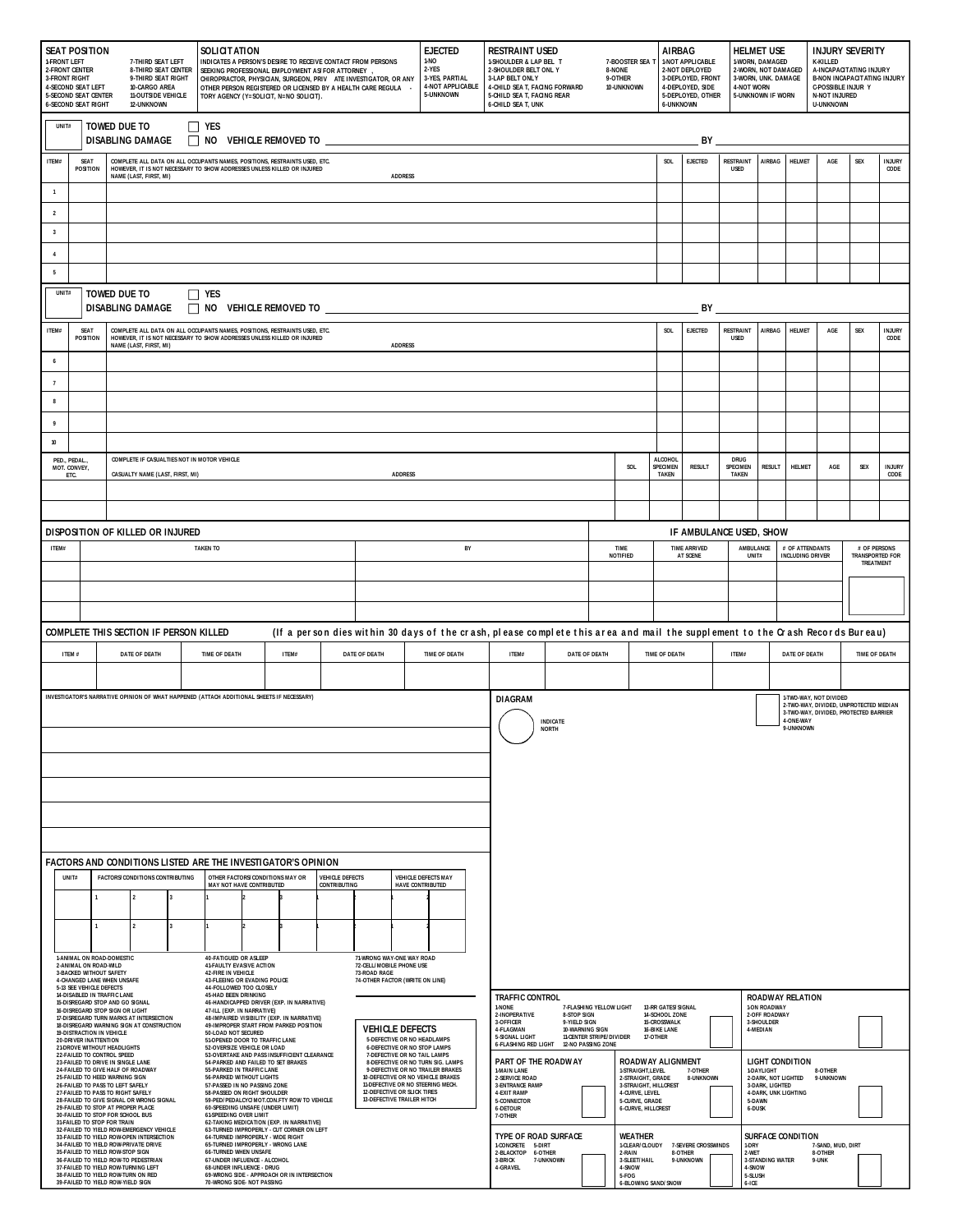| 1-FRONT LEFT<br><b>2-FRONT CENTER</b><br><b>3-FRONT RIGHT</b>                                  | <b>SEAT POSITION</b><br><b>4-SECOND SEAT LEFT</b><br><b>5-SECOND SEAT CENTER</b><br><b>6-SECOND SEAT RIGHT</b> | 7-THIRD SEAT LEFT<br>8-THIRD SEAT CENTER<br>9-THIRD SEAT RIGHT<br>10-CARGO AREA<br><b>11-OUTSIDE VEHICLE</b><br>12-UNKNOWN                                                      | SOLICIT ATION<br><b>EJECTED</b><br>1-NO<br>INDICATES A PERSON'S DESIRE TO RECEIVE CONTACT FROM PERSONS<br>2-YES<br>SEEKING PROFESSIONAL EMPLOYMENT AS/FOR ATTORNEY<br>3-YES, PARTIAL<br>CHIROPRACTOR, PHYSICIAN, SURGEON, PRIV ATE INVESTIGATOR, OR ANY<br>4-NOT APPLICABLE<br>OTHER PERSON REGISTERED OR LICENSED BY A HEALTH CARE REGULA<br>5-UNKNOWN<br>TORY AGENCY (Y=SOLICIT, N=NO SOLICIT). |                                                                                                                                                                                                                  |                                               |                                                                  | <b>RESTRAINT USED</b><br>1-SHOULDER & LAP BEL T<br>2-SHOULDER BELT ONL Y<br>3-LAP BELT ONLY<br>4-CHILD SEA T, FACING FORWARD<br>5-CHILD SEA T, FACING REAR<br><b>6-CHILD SEA T, UNK</b> |                                                                                                                                                                       | 8-NONE                                                                                                                        | 7-BOOSTER SEA 1<br>9-OTHER<br>10-UNKNOWN | <b>AIRBAG</b><br><b>6-UNKNOWN</b>                             | 1-NOT APPLICABLE<br>2-NOT DEPLOYED<br>3-DEPLOYED, FRONT<br>4-DEPLOYED, SIDE<br>5-DEPLOYED, OTHER |                                            | <b>HELMET USE</b><br>1-WORN, DAMAGED<br>2-WORN, NOT DAMAGED<br>3-WORN, UNK. DAMAGE<br><b>4-NOT WORN</b><br>5-UNKNOWN IF WORN |                                         |                                                                  | <b>INJURY SEVERITY</b><br><b>K-KILLED</b><br>A-INCAPACITATING INJURY<br><b>B-NON INCAPACIT ATING INJURY</b><br><b>C-POSSIBLE INJUR Y</b><br><b>N-NOT INJURED</b><br><b>U-UNKNOWN</b> |                                                                  |                                     |                       |
|------------------------------------------------------------------------------------------------|----------------------------------------------------------------------------------------------------------------|---------------------------------------------------------------------------------------------------------------------------------------------------------------------------------|---------------------------------------------------------------------------------------------------------------------------------------------------------------------------------------------------------------------------------------------------------------------------------------------------------------------------------------------------------------------------------------------------|------------------------------------------------------------------------------------------------------------------------------------------------------------------------------------------------------------------|-----------------------------------------------|------------------------------------------------------------------|-----------------------------------------------------------------------------------------------------------------------------------------------------------------------------------------|-----------------------------------------------------------------------------------------------------------------------------------------------------------------------|-------------------------------------------------------------------------------------------------------------------------------|------------------------------------------|---------------------------------------------------------------|--------------------------------------------------------------------------------------------------|--------------------------------------------|------------------------------------------------------------------------------------------------------------------------------|-----------------------------------------|------------------------------------------------------------------|--------------------------------------------------------------------------------------------------------------------------------------------------------------------------------------|------------------------------------------------------------------|-------------------------------------|-----------------------|
|                                                                                                | <b>TOWED DUE TO</b><br>$\Box$ yes<br>UNIT#<br>DISABLING DAMAGE<br>$\Box$ NO VEHICLE REMOVED TO<br>BY           |                                                                                                                                                                                 |                                                                                                                                                                                                                                                                                                                                                                                                   |                                                                                                                                                                                                                  |                                               |                                                                  |                                                                                                                                                                                         |                                                                                                                                                                       |                                                                                                                               |                                          |                                                               |                                                                                                  |                                            |                                                                                                                              |                                         |                                                                  |                                                                                                                                                                                      |                                                                  |                                     |                       |
| ITEM#                                                                                          | <b>SEAT</b><br>POSITION                                                                                        | NAME (LAST, FIRST, MI)                                                                                                                                                          | COMPLETE ALL DATA ON ALL OCCUPANTS NAMES, POSITIONS, RESTRAINTS USED, ETC.<br>HOWEVER, IT IS NOT NECESSARY TO SHOW ADDRESSES UNLESS KILLED OR INJURED<br><b>ADDRESS</b>                                                                                                                                                                                                                           |                                                                                                                                                                                                                  |                                               |                                                                  |                                                                                                                                                                                         |                                                                                                                                                                       |                                                                                                                               | SOL                                      | EJECTED                                                       | <b>RESTRAINT</b><br><b>USED</b>                                                                  | AIRBAG                                     | HELMET                                                                                                                       | AGE                                     | SEX                                                              | <b>INJURY</b><br>CODE                                                                                                                                                                |                                                                  |                                     |                       |
| $\mathbf{1}$                                                                                   |                                                                                                                |                                                                                                                                                                                 |                                                                                                                                                                                                                                                                                                                                                                                                   |                                                                                                                                                                                                                  |                                               |                                                                  |                                                                                                                                                                                         |                                                                                                                                                                       |                                                                                                                               |                                          |                                                               |                                                                                                  |                                            |                                                                                                                              |                                         |                                                                  |                                                                                                                                                                                      |                                                                  |                                     |                       |
| $\overline{2}$<br>$\overline{\mathbf{3}}$                                                      |                                                                                                                |                                                                                                                                                                                 |                                                                                                                                                                                                                                                                                                                                                                                                   |                                                                                                                                                                                                                  |                                               |                                                                  |                                                                                                                                                                                         |                                                                                                                                                                       |                                                                                                                               |                                          |                                                               |                                                                                                  |                                            |                                                                                                                              |                                         |                                                                  |                                                                                                                                                                                      |                                                                  |                                     |                       |
| $\overline{4}$                                                                                 |                                                                                                                |                                                                                                                                                                                 |                                                                                                                                                                                                                                                                                                                                                                                                   |                                                                                                                                                                                                                  |                                               |                                                                  |                                                                                                                                                                                         |                                                                                                                                                                       |                                                                                                                               |                                          |                                                               |                                                                                                  |                                            |                                                                                                                              |                                         |                                                                  |                                                                                                                                                                                      |                                                                  |                                     |                       |
| $\overline{\phantom{a}}$                                                                       |                                                                                                                |                                                                                                                                                                                 |                                                                                                                                                                                                                                                                                                                                                                                                   |                                                                                                                                                                                                                  |                                               |                                                                  |                                                                                                                                                                                         |                                                                                                                                                                       |                                                                                                                               |                                          |                                                               |                                                                                                  |                                            |                                                                                                                              |                                         |                                                                  |                                                                                                                                                                                      |                                                                  |                                     |                       |
| UNIT#<br><b>TOWED DUE TO</b><br>$\Box$ YES<br>DISABLING DAMAGE<br>$\Box$ NO VEHICLE REMOVED TO |                                                                                                                |                                                                                                                                                                                 |                                                                                                                                                                                                                                                                                                                                                                                                   |                                                                                                                                                                                                                  |                                               |                                                                  |                                                                                                                                                                                         | BY                                                                                                                                                                    |                                                                                                                               |                                          |                                                               |                                                                                                  |                                            |                                                                                                                              |                                         |                                                                  |                                                                                                                                                                                      |                                                                  |                                     |                       |
| ITEM#                                                                                          | <b>SEAT</b><br><b>POSITION</b>                                                                                 | COMPLETE ALL DATA ON ALL OCCUPANTS NAMES, POSITIONS, RESTRAINTS USED, ETC.<br>HOWEVER, IT IS NOT NECESSARY TO SHOW ADDRESSES UNLESS KILLED OR INJURED<br>NAME (LAST, FIRST, MI) |                                                                                                                                                                                                                                                                                                                                                                                                   |                                                                                                                                                                                                                  |                                               |                                                                  | <b>ADDRESS</b>                                                                                                                                                                          |                                                                                                                                                                       |                                                                                                                               |                                          |                                                               |                                                                                                  | SOL                                        | EJECTED                                                                                                                      | RESTRAINT<br><b>USED</b>                | AIRBAG                                                           | HELMET                                                                                                                                                                               | AGE                                                              | SEX                                 | <b>INJURY</b><br>CODE |
| $\boldsymbol{6}$                                                                               |                                                                                                                |                                                                                                                                                                                 |                                                                                                                                                                                                                                                                                                                                                                                                   |                                                                                                                                                                                                                  |                                               |                                                                  |                                                                                                                                                                                         |                                                                                                                                                                       |                                                                                                                               |                                          |                                                               |                                                                                                  |                                            |                                                                                                                              |                                         |                                                                  |                                                                                                                                                                                      |                                                                  |                                     |                       |
| $\overline{7}$                                                                                 |                                                                                                                |                                                                                                                                                                                 |                                                                                                                                                                                                                                                                                                                                                                                                   |                                                                                                                                                                                                                  |                                               |                                                                  |                                                                                                                                                                                         |                                                                                                                                                                       |                                                                                                                               |                                          |                                                               |                                                                                                  |                                            |                                                                                                                              |                                         |                                                                  |                                                                                                                                                                                      |                                                                  |                                     |                       |
| 8                                                                                              |                                                                                                                |                                                                                                                                                                                 |                                                                                                                                                                                                                                                                                                                                                                                                   |                                                                                                                                                                                                                  |                                               |                                                                  |                                                                                                                                                                                         |                                                                                                                                                                       |                                                                                                                               |                                          |                                                               |                                                                                                  |                                            |                                                                                                                              |                                         |                                                                  |                                                                                                                                                                                      |                                                                  |                                     |                       |
| 9                                                                                              |                                                                                                                |                                                                                                                                                                                 |                                                                                                                                                                                                                                                                                                                                                                                                   |                                                                                                                                                                                                                  |                                               |                                                                  |                                                                                                                                                                                         |                                                                                                                                                                       |                                                                                                                               |                                          |                                                               |                                                                                                  |                                            |                                                                                                                              |                                         |                                                                  |                                                                                                                                                                                      |                                                                  |                                     |                       |
| $10\,$                                                                                         |                                                                                                                | COMPLETE IF CASUALTIES NOT IN MOTOR VEHICLE                                                                                                                                     |                                                                                                                                                                                                                                                                                                                                                                                                   |                                                                                                                                                                                                                  |                                               |                                                                  |                                                                                                                                                                                         |                                                                                                                                                                       |                                                                                                                               |                                          |                                                               |                                                                                                  |                                            |                                                                                                                              |                                         |                                                                  |                                                                                                                                                                                      |                                                                  |                                     |                       |
|                                                                                                | PED., PEDAL.,<br>MOT. CONVEY,<br>ETC.                                                                          | CASUALTY NAME (LAST, FIRST, MI)                                                                                                                                                 |                                                                                                                                                                                                                                                                                                                                                                                                   |                                                                                                                                                                                                                  |                                               |                                                                  | <b>ADDRESS</b>                                                                                                                                                                          |                                                                                                                                                                       |                                                                                                                               |                                          |                                                               | SOL                                                                                              | <b>ALCOHOL</b><br>SPECIMEN<br><b>TAKEN</b> | <b>RESULT</b>                                                                                                                | <b>DRUG</b><br>SPECIMEN<br><b>TAKEN</b> | <b>RESULT</b>                                                    | <b>HELMET</b>                                                                                                                                                                        | AGE                                                              | <b>SEX</b>                          | <b>INJURY</b><br>CODE |
|                                                                                                |                                                                                                                |                                                                                                                                                                                 |                                                                                                                                                                                                                                                                                                                                                                                                   |                                                                                                                                                                                                                  |                                               |                                                                  |                                                                                                                                                                                         |                                                                                                                                                                       |                                                                                                                               |                                          |                                                               |                                                                                                  |                                            |                                                                                                                              |                                         |                                                                  |                                                                                                                                                                                      |                                                                  |                                     |                       |
|                                                                                                |                                                                                                                |                                                                                                                                                                                 |                                                                                                                                                                                                                                                                                                                                                                                                   |                                                                                                                                                                                                                  |                                               |                                                                  |                                                                                                                                                                                         |                                                                                                                                                                       |                                                                                                                               |                                          |                                                               |                                                                                                  |                                            |                                                                                                                              |                                         |                                                                  |                                                                                                                                                                                      |                                                                  |                                     |                       |
| ITEM#                                                                                          |                                                                                                                | DISPOSITION OF KILLED OR INJURED                                                                                                                                                | <b>TAKEN TO</b>                                                                                                                                                                                                                                                                                                                                                                                   |                                                                                                                                                                                                                  |                                               |                                                                  |                                                                                                                                                                                         | BY                                                                                                                                                                    |                                                                                                                               |                                          |                                                               |                                                                                                  |                                            |                                                                                                                              | IF AMBULANCE USED, SHOW                 |                                                                  |                                                                                                                                                                                      | # OF PERSONS                                                     |                                     |                       |
|                                                                                                |                                                                                                                |                                                                                                                                                                                 |                                                                                                                                                                                                                                                                                                                                                                                                   |                                                                                                                                                                                                                  |                                               |                                                                  |                                                                                                                                                                                         |                                                                                                                                                                       |                                                                                                                               |                                          |                                                               | TIME<br>NOTIFIED                                                                                 |                                            | <b>TIME ARRIVED</b><br>AT SCENE                                                                                              |                                         | AMBULANCE<br># OF ATTENDANTS<br>UNIT#<br><b>INCLUDING DRIVER</b> |                                                                                                                                                                                      |                                                                  | <b>TRANSPORTED FOR</b><br>TREATMENT |                       |
|                                                                                                |                                                                                                                |                                                                                                                                                                                 |                                                                                                                                                                                                                                                                                                                                                                                                   |                                                                                                                                                                                                                  |                                               |                                                                  |                                                                                                                                                                                         |                                                                                                                                                                       |                                                                                                                               |                                          |                                                               |                                                                                                  |                                            |                                                                                                                              |                                         |                                                                  |                                                                                                                                                                                      |                                                                  |                                     |                       |
|                                                                                                |                                                                                                                |                                                                                                                                                                                 |                                                                                                                                                                                                                                                                                                                                                                                                   |                                                                                                                                                                                                                  |                                               |                                                                  |                                                                                                                                                                                         |                                                                                                                                                                       |                                                                                                                               |                                          |                                                               |                                                                                                  |                                            |                                                                                                                              |                                         |                                                                  |                                                                                                                                                                                      |                                                                  |                                     |                       |
|                                                                                                |                                                                                                                | COMPLETE THIS SECTION IF PERSON KILLED                                                                                                                                          |                                                                                                                                                                                                                                                                                                                                                                                                   |                                                                                                                                                                                                                  |                                               |                                                                  |                                                                                                                                                                                         |                                                                                                                                                                       | (If a person dies within 30 days of the crash, please complete this area and mail the supplement to the Crash Records Bureau) |                                          |                                                               |                                                                                                  |                                            |                                                                                                                              |                                         |                                                                  |                                                                                                                                                                                      |                                                                  |                                     |                       |
|                                                                                                | ITEM #                                                                                                         | DATE OF DEATH                                                                                                                                                                   | TIME OF DEATH                                                                                                                                                                                                                                                                                                                                                                                     | ITEM#                                                                                                                                                                                                            |                                               | DATE OF DEATH                                                    |                                                                                                                                                                                         | <b>TIME OF DEATH</b>                                                                                                                                                  | ITEM#                                                                                                                         |                                          | DATE OF DEATH                                                 |                                                                                                  | <b>TIME OF DEATH</b><br>ITEM#              |                                                                                                                              |                                         | DATE OF DEATH                                                    |                                                                                                                                                                                      | <b>TIME OF DEATH</b>                                             |                                     |                       |
|                                                                                                |                                                                                                                |                                                                                                                                                                                 |                                                                                                                                                                                                                                                                                                                                                                                                   |                                                                                                                                                                                                                  |                                               |                                                                  |                                                                                                                                                                                         |                                                                                                                                                                       |                                                                                                                               |                                          |                                                               |                                                                                                  |                                            |                                                                                                                              |                                         |                                                                  |                                                                                                                                                                                      |                                                                  |                                     |                       |
|                                                                                                |                                                                                                                | INVESTIGATOR'S NARRATIVE OPINION OF WHAT HAPPENED (ATTACH ADDITIONAL SHEETS IF NECESSARY)                                                                                       |                                                                                                                                                                                                                                                                                                                                                                                                   |                                                                                                                                                                                                                  |                                               |                                                                  |                                                                                                                                                                                         |                                                                                                                                                                       | <b>DIAGRAM</b>                                                                                                                |                                          |                                                               |                                                                                                  |                                            |                                                                                                                              |                                         |                                                                  |                                                                                                                                                                                      | 1-TWO-WAY, NOT DIVIDED<br>2-TWO-WAY, DIVIDED, UNPROTECTED MEDIAN |                                     |                       |
|                                                                                                |                                                                                                                |                                                                                                                                                                                 |                                                                                                                                                                                                                                                                                                                                                                                                   |                                                                                                                                                                                                                  |                                               |                                                                  |                                                                                                                                                                                         |                                                                                                                                                                       |                                                                                                                               | <b>INDICATE</b><br><b>NORTH</b>          |                                                               |                                                                                                  |                                            |                                                                                                                              |                                         |                                                                  | 4-ONE-WAY<br>9-UNKNOWN                                                                                                                                                               | 3-TWO-WAY, DIVIDED, PROTECTED BARRIER                            |                                     |                       |
|                                                                                                |                                                                                                                |                                                                                                                                                                                 |                                                                                                                                                                                                                                                                                                                                                                                                   |                                                                                                                                                                                                                  |                                               |                                                                  |                                                                                                                                                                                         |                                                                                                                                                                       |                                                                                                                               |                                          |                                                               |                                                                                                  |                                            |                                                                                                                              |                                         |                                                                  |                                                                                                                                                                                      |                                                                  |                                     |                       |
|                                                                                                |                                                                                                                |                                                                                                                                                                                 |                                                                                                                                                                                                                                                                                                                                                                                                   |                                                                                                                                                                                                                  |                                               |                                                                  |                                                                                                                                                                                         |                                                                                                                                                                       |                                                                                                                               |                                          |                                                               |                                                                                                  |                                            |                                                                                                                              |                                         |                                                                  |                                                                                                                                                                                      |                                                                  |                                     |                       |
|                                                                                                |                                                                                                                |                                                                                                                                                                                 |                                                                                                                                                                                                                                                                                                                                                                                                   |                                                                                                                                                                                                                  |                                               |                                                                  |                                                                                                                                                                                         |                                                                                                                                                                       |                                                                                                                               |                                          |                                                               |                                                                                                  |                                            |                                                                                                                              |                                         |                                                                  |                                                                                                                                                                                      |                                                                  |                                     |                       |
|                                                                                                |                                                                                                                |                                                                                                                                                                                 |                                                                                                                                                                                                                                                                                                                                                                                                   |                                                                                                                                                                                                                  |                                               |                                                                  |                                                                                                                                                                                         |                                                                                                                                                                       |                                                                                                                               |                                          |                                                               |                                                                                                  |                                            |                                                                                                                              |                                         |                                                                  |                                                                                                                                                                                      |                                                                  |                                     |                       |
|                                                                                                |                                                                                                                |                                                                                                                                                                                 |                                                                                                                                                                                                                                                                                                                                                                                                   |                                                                                                                                                                                                                  |                                               |                                                                  |                                                                                                                                                                                         |                                                                                                                                                                       |                                                                                                                               |                                          |                                                               |                                                                                                  |                                            |                                                                                                                              |                                         |                                                                  |                                                                                                                                                                                      |                                                                  |                                     |                       |
|                                                                                                |                                                                                                                |                                                                                                                                                                                 |                                                                                                                                                                                                                                                                                                                                                                                                   |                                                                                                                                                                                                                  |                                               |                                                                  |                                                                                                                                                                                         |                                                                                                                                                                       |                                                                                                                               |                                          |                                                               |                                                                                                  |                                            |                                                                                                                              |                                         |                                                                  |                                                                                                                                                                                      |                                                                  |                                     |                       |
|                                                                                                | <b>UNIT#</b>                                                                                                   | FACTORS AND CONDITIONS LISTED ARE THE INVESTIGATOR'S OPINION<br><b>FACTORS/CONDITIONS CONTRIBUTING</b>                                                                          | OTHER FACTORS/CONDITIONS MAY OR<br><b>MAY NOT HAVE CONTRIBUTED</b>                                                                                                                                                                                                                                                                                                                                |                                                                                                                                                                                                                  | <b>VEHICLE DEFECTS</b><br><b>CONTRIBUTING</b> |                                                                  | <b>VEHICLE DEFECTS MAY</b>                                                                                                                                                              |                                                                                                                                                                       |                                                                                                                               |                                          |                                                               |                                                                                                  |                                            |                                                                                                                              |                                         |                                                                  |                                                                                                                                                                                      |                                                                  |                                     |                       |
|                                                                                                | 1                                                                                                              | HAVE CONTRIBUTED                                                                                                                                                                |                                                                                                                                                                                                                                                                                                                                                                                                   |                                                                                                                                                                                                                  |                                               |                                                                  |                                                                                                                                                                                         |                                                                                                                                                                       |                                                                                                                               |                                          |                                                               |                                                                                                  |                                            |                                                                                                                              |                                         |                                                                  |                                                                                                                                                                                      |                                                                  |                                     |                       |
|                                                                                                | $\mathbf{1}$                                                                                                   | $\mathfrak{p}$                                                                                                                                                                  |                                                                                                                                                                                                                                                                                                                                                                                                   |                                                                                                                                                                                                                  |                                               |                                                                  |                                                                                                                                                                                         |                                                                                                                                                                       |                                                                                                                               |                                          |                                                               |                                                                                                  |                                            |                                                                                                                              |                                         |                                                                  |                                                                                                                                                                                      |                                                                  |                                     |                       |
|                                                                                                |                                                                                                                |                                                                                                                                                                                 |                                                                                                                                                                                                                                                                                                                                                                                                   |                                                                                                                                                                                                                  |                                               |                                                                  |                                                                                                                                                                                         |                                                                                                                                                                       |                                                                                                                               |                                          |                                                               |                                                                                                  |                                            |                                                                                                                              |                                         |                                                                  |                                                                                                                                                                                      |                                                                  |                                     |                       |
|                                                                                                | 1-ANIMAL ON ROAD-DOMESTIC<br>2-ANIMAL ON ROAD-WILD<br>3-BACKED WITHOUT SAFETY                                  |                                                                                                                                                                                 | 71-WRONG WAY-ONE WAY ROAD<br>40-FATIGUED OR ASLEEP<br>72-CELL/MOBILE PHONE USE<br>41-FAULTY EVASIVE ACTION<br>42-FIRE IN VEHICLE<br>73-ROAD RAGE                                                                                                                                                                                                                                                  |                                                                                                                                                                                                                  |                                               |                                                                  |                                                                                                                                                                                         |                                                                                                                                                                       |                                                                                                                               |                                          |                                                               |                                                                                                  |                                            |                                                                                                                              |                                         |                                                                  |                                                                                                                                                                                      |                                                                  |                                     |                       |
|                                                                                                | 4-CHANGED LANE WHEN UNSAFE<br>5-13 SEE VEHICLE DEFECTS<br>14-DISABLED IN TRAFFIC LANE                          |                                                                                                                                                                                 | 43-FLEEING OR EVADING POLICE<br>44-FOLLOWED TOO CLOSELY<br><b>45-HAD BEEN DRINKING</b>                                                                                                                                                                                                                                                                                                            |                                                                                                                                                                                                                  |                                               | 74-OTHER FACTOR (WRITE ON LINE)                                  |                                                                                                                                                                                         |                                                                                                                                                                       |                                                                                                                               |                                          |                                                               |                                                                                                  |                                            |                                                                                                                              |                                         |                                                                  |                                                                                                                                                                                      |                                                                  |                                     |                       |
|                                                                                                |                                                                                                                | 15-DISREGARD STOP AND GO SIGNAL<br>16-DISREGARD STOP SIGN OR LIGHT<br>17-DISREGARD TURN MARKS AT INTERSECTION                                                                   | 46-HANDICAPPED DRIVER (EXP. IN NARRATIVE)<br>47-ILL (EXP. IN NARRATIVE)                                                                                                                                                                                                                                                                                                                           |                                                                                                                                                                                                                  |                                               |                                                                  |                                                                                                                                                                                         |                                                                                                                                                                       | <b>TRAFFIC CONTROL</b><br>1-NONE<br>2-INOPERATIVE                                                                             | <b>8-STOP SIGN</b>                       | 7-FLASHING YELLOW LIGHT                                       |                                                                                                  | 13-RR GATES/SIGNAL<br>14-SCHOOL ZONE       |                                                                                                                              |                                         | 1-ON ROADWAY<br>2-OFF ROADWAY                                    | <b>ROADWAY RELATION</b>                                                                                                                                                              |                                                                  |                                     |                       |
|                                                                                                | 19-DISTRACTION IN VEHICLE<br><b>20-DRIVER INATTENTION</b>                                                      | 18-DISREGARD WARNING SIGN AT CONSTRUCTION                                                                                                                                       | 50-LOAD NOT SECURED                                                                                                                                                                                                                                                                                                                                                                               | 48-IMPAIRED VISIBILITY (EXP. IN NARRATIVE)<br>3-OFFICER<br>49-IMPROPER START FROM PARKED POSITION<br><b>VEHICLE DEFECTS</b><br>4-FLAGMAN<br><b>5-DEFECTIVE OR NO HEADLAMPS</b><br>51-OPENED DOOR TO TRAFFIC LANE |                                               |                                                                  | 5-SIGNAL LIGHT<br><b>6-FLASHING RED LIGHT</b>                                                                                                                                           | 9-YIELD SIGN<br>15-CROSSWALK<br>3-SHOULDER<br>10-WARNING SIGN<br><b>16-BIKE LANE</b><br>4-MEDIAN<br><b>11-CENTER STRIPE/DIVIDER</b><br>17-OTHER<br>12-NO PASSING ZONE |                                                                                                                               |                                          |                                                               |                                                                                                  |                                            |                                                                                                                              |                                         |                                                                  |                                                                                                                                                                                      |                                                                  |                                     |                       |
|                                                                                                | 21-DROVE WITHOUT HEADLIGHTS<br>22-FAILED TO CONTROL SPEED                                                      | 23-FAILED TO DRIVE IN SINGLE LANE                                                                                                                                               | 52-OVERSIZE VEHICLE OR LOAD<br>53-OVERTAKE AND PASS INSUFFICIENT CLEARANCE<br>54-PARKED AND FAILED TO SET BRAKES                                                                                                                                                                                                                                                                                  |                                                                                                                                                                                                                  |                                               |                                                                  | <b>6-DEFECTIVE OR NO STOP LAMPS</b><br>7-DEFECTIVE OR NO TAIL LAMPS                                                                                                                     | 8-DEFECTIVE OR NO TURN SIG. LAMPS                                                                                                                                     | PART OF THE ROADW AY                                                                                                          |                                          |                                                               | <b>ROADWAY ALIGNMENT</b>                                                                         |                                            |                                                                                                                              |                                         |                                                                  | <b>LIGHT CONDITION</b>                                                                                                                                                               |                                                                  |                                     |                       |
|                                                                                                |                                                                                                                | 24-FAILED TO GIVE HALF OF ROADWAY<br>25-FAILED TO HEED WARNING SIGN<br>26-FAILED TO PASS TO LEFT SAFELY                                                                         | 55-PARKED IN TRAFFIC LANE<br><b>56-PARKED WITHOUT LIGHTS</b><br>57-PASSED IN NO PASSING ZONE                                                                                                                                                                                                                                                                                                      |                                                                                                                                                                                                                  |                                               | 11-DEFECTIVE OR NO STEERING MECH.                                |                                                                                                                                                                                         | 9-DEFECTIVE OR NO TRAILER BRAKES<br>10-DEFECTIVE OR NO VEHICLE BRAKES                                                                                                 | 1-MAIN LANE<br>2-SERVICE ROAD<br><b>3-ENTRANCE RAMP</b>                                                                       |                                          |                                                               | 1-STRAIGHT, LEVEL<br>2-STRAIGHT, GRADE<br>3-STRAIGHT, HILLCREST                                  |                                            | 7-OTHER<br>8-UNKNOWN                                                                                                         |                                         | 1-DAYLIGHT<br>2-DARK, NOT LIGHTED<br>3-DARK, LIGHTED             |                                                                                                                                                                                      | 8-OTHER<br>9-UNKNOWN                                             |                                     |                       |
|                                                                                                |                                                                                                                | 27-FAILED TO PASS TO RIGHT SAFELY<br>28-FAILED TO GIVE SIGNAL OR WRONG SIGNAL<br>29-FAILED TO STOP AT PROPER PLACE<br>30-FAILED TO STOP FOR SCHOOL BUS                          | <b>58-PASSED ON RIGHT SHOULDER</b><br>59-PED/PEDALCYC/MOT.CON.FTY ROW TO VEHICLE<br>60-SPEEDING UNSAFE (UNDER LIMIT)<br><b>61-SPEEDING OVER LIMIT</b>                                                                                                                                                                                                                                             |                                                                                                                                                                                                                  |                                               | <b>12-DEFECTIVE OR SLICK TIRES</b><br>13-DEFECTIVE TRAILER HITCH |                                                                                                                                                                                         |                                                                                                                                                                       | 4-EXIT RAMP<br>5-CONNECTOR<br><b>6-DETOUR</b>                                                                                 |                                          |                                                               | 4-CURVE, LEVEL<br>5-CURVE, GRADE<br><b>6-CURVE, HILLCREST</b>                                    |                                            |                                                                                                                              |                                         | 5-DAWN<br>6-DUSK                                                 | 4-DARK, UNK LIGHTING                                                                                                                                                                 |                                                                  |                                     |                       |
|                                                                                                | 31-FAILED TO STOP FOR TRAIN                                                                                    | 32-FAILED TO YIELD ROW-EMERGENCY VEHICLE<br>33-FAILED TO YIELD ROW-OPEN INTERSECTION                                                                                            | 62-TAKING MEDICATION (EXP. IN NARRATIVE)<br>63-TURNED IMPROPERLY - CUT CORNER ON LEFT<br>64-TURNED IMPROPERLY - WIDE RIGHT                                                                                                                                                                                                                                                                        |                                                                                                                                                                                                                  |                                               |                                                                  |                                                                                                                                                                                         |                                                                                                                                                                       | 7-OTHER<br>TYPE OF ROAD SURFACE                                                                                               |                                          |                                                               | <b>WEATHER</b>                                                                                   |                                            |                                                                                                                              |                                         |                                                                  | <b>SURFACE CONDITION</b>                                                                                                                                                             |                                                                  |                                     |                       |
|                                                                                                |                                                                                                                | 34-FAILED TO YIELD ROW-PRIVATE DRIVE<br>35-FAILED TO YIELD ROW-STOP SIGN<br>36-FAILED TO YIELD ROW-TO PEDESTRIAN                                                                | 65-TURNED IMPROPERLY - WRONG LANE<br><b>66-TURNED WHEN UNSAFE</b>                                                                                                                                                                                                                                                                                                                                 |                                                                                                                                                                                                                  |                                               |                                                                  |                                                                                                                                                                                         |                                                                                                                                                                       | 1-CONCRETE 5-DIRT<br>2-BLACKTOP 6-OTHER                                                                                       |                                          |                                                               | 1-CLEAR/CLOUDY<br>2-RAIN                                                                         |                                            | 7-SEVERE CROSSWINDS<br>8-OTHER                                                                                               | 1-DRY<br>2-WET                          |                                                                  |                                                                                                                                                                                      | 7-SAND, MUD, DIRT<br>8-OTHER                                     |                                     |                       |
|                                                                                                |                                                                                                                | 37-FAILED TO YIELD ROW-TURNING LEFT<br>38-FAILED TO YIELD ROW-TURN ON RED<br>39-FAILED TO YIELD ROW-YIELD SIGN                                                                  | 67-UNDER INFLUENCE - ALCOHOL<br>3-BRICK<br><b>68-UNDER INFLUENCE - DRUG</b><br>4-GRAVEL<br>69-WRONG SIDE - APPROACH OR IN INTERSECTION<br>70-WRONG SIDE- NOT PASSING                                                                                                                                                                                                                              |                                                                                                                                                                                                                  |                                               |                                                                  |                                                                                                                                                                                         |                                                                                                                                                                       | 7-UNKNOWN                                                                                                                     |                                          | 3-SLEET/HAIL<br>4-SNOW<br>5-FOG<br><b>6-BLOWING SAND/SNOW</b> |                                                                                                  | 9-UNKNOWN                                  | 4-SNOW<br>5-SLUSH<br>6-ICE                                                                                                   | <b>3-STANDING WATER</b>                 |                                                                  | 9-UNK                                                                                                                                                                                |                                                                  |                                     |                       |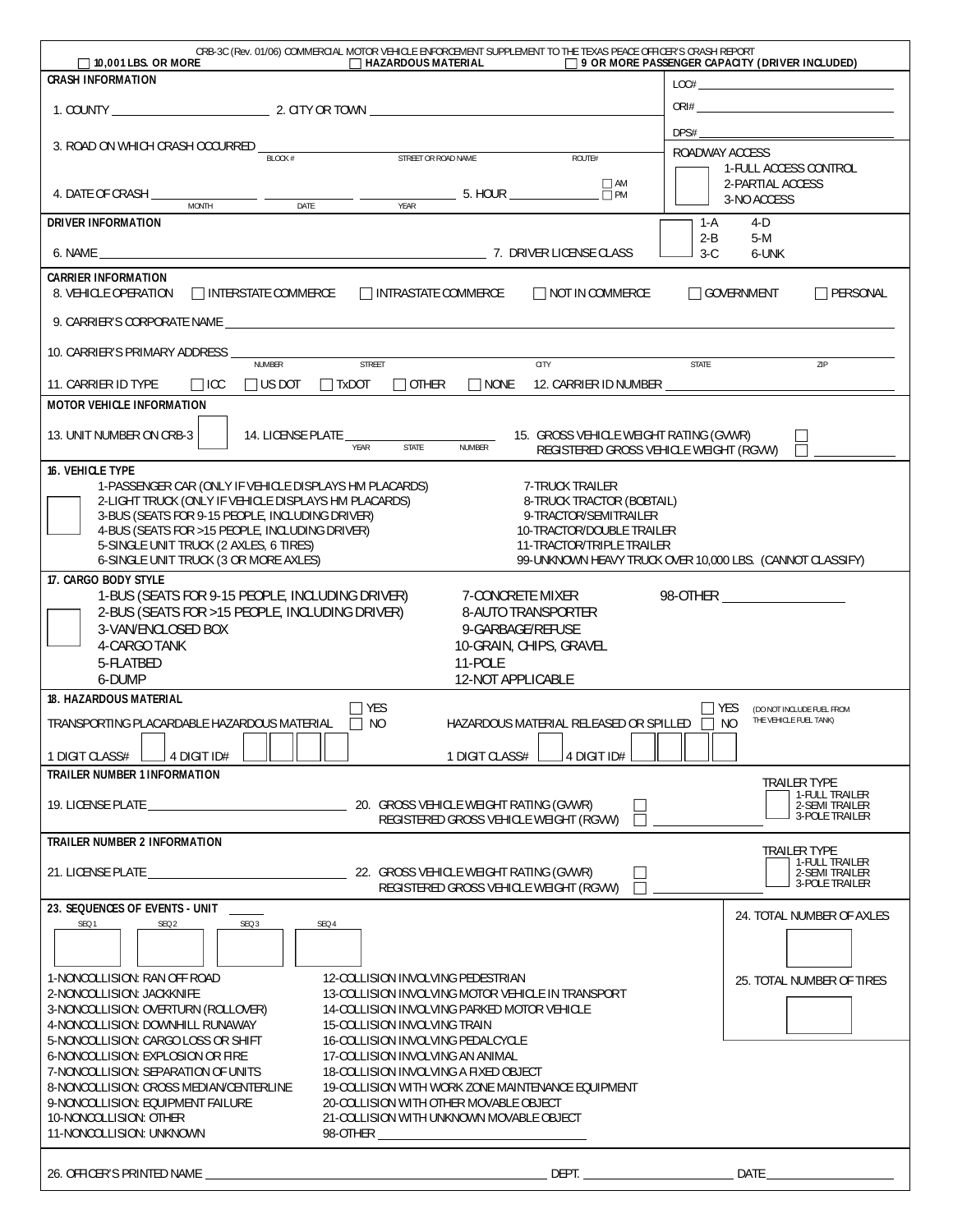| CRB-3C (Rev. 01/06) COMMERCIAL MOTOR VEHICLE ENFORCEMENT SUPPLEMENT TO THE TEXAS PEACE OFFICER'S CRASH REPORT<br>$\Box$ 10,001 LBS. OR MORE<br>$\Box$ HAZARDOUS MATERIAL                                                       | $\Box$ 9 OR MORE PASSENGER CAPACITY (DRIVER INCLUDED)                                                                                                                                                                                                                                                                                                              |  |  |  |  |  |  |  |
|--------------------------------------------------------------------------------------------------------------------------------------------------------------------------------------------------------------------------------|--------------------------------------------------------------------------------------------------------------------------------------------------------------------------------------------------------------------------------------------------------------------------------------------------------------------------------------------------------------------|--|--|--|--|--|--|--|
| <b>CRASH INFORMATION</b>                                                                                                                                                                                                       | $\begin{picture}(150,10) \put(0,0){\vector(1,0){100}} \put(15,0){\vector(1,0){100}} \put(15,0){\vector(1,0){100}} \put(15,0){\vector(1,0){100}} \put(15,0){\vector(1,0){100}} \put(15,0){\vector(1,0){100}} \put(15,0){\vector(1,0){100}} \put(15,0){\vector(1,0){100}} \put(15,0){\vector(1,0){100}} \put(15,0){\vector(1,0){100}} \put(15,0){\vector(1,0){100}}$ |  |  |  |  |  |  |  |
|                                                                                                                                                                                                                                |                                                                                                                                                                                                                                                                                                                                                                    |  |  |  |  |  |  |  |
|                                                                                                                                                                                                                                | DPS#                                                                                                                                                                                                                                                                                                                                                               |  |  |  |  |  |  |  |
| 3. ROAD ON WHICH CRASH OCCURRED _<br>STREET OR ROAD NAME<br>BLOCK #<br>ROUTE#                                                                                                                                                  | ROADWAY ACCESS                                                                                                                                                                                                                                                                                                                                                     |  |  |  |  |  |  |  |
| $\Box$ AM                                                                                                                                                                                                                      | 1-FULL ACCESS CONTROL<br>2-PARTIAL ACCESS                                                                                                                                                                                                                                                                                                                          |  |  |  |  |  |  |  |
| $\frac{1}{\sqrt{FAR}}$ 5. HOUR $\frac{1}{\sqrt{FAR}}$<br>4. DATE OF CRASH $\frac{1}{\text{MONTH}}$ $\frac{1}{\text{MONTH}}$                                                                                                    | 3-NO ACCESS                                                                                                                                                                                                                                                                                                                                                        |  |  |  |  |  |  |  |
| <b>DRIVER INFORMATION</b>                                                                                                                                                                                                      | 1-A<br>4-D                                                                                                                                                                                                                                                                                                                                                         |  |  |  |  |  |  |  |
|                                                                                                                                                                                                                                | $2 - B$<br>$5-M$                                                                                                                                                                                                                                                                                                                                                   |  |  |  |  |  |  |  |
|                                                                                                                                                                                                                                | $3-C$<br>6-UNK                                                                                                                                                                                                                                                                                                                                                     |  |  |  |  |  |  |  |
| <b>CARRIER INFORMATION</b><br>8. VEHICLE OPERATION<br>$\Box$ INTERSTATE COMMERCE $\Box$ INTRASTATE COMMERCE<br>□ NOT IN COMMERCE                                                                                               | $\Box$ PERSONAL<br>□ GOVERNMENT                                                                                                                                                                                                                                                                                                                                    |  |  |  |  |  |  |  |
|                                                                                                                                                                                                                                |                                                                                                                                                                                                                                                                                                                                                                    |  |  |  |  |  |  |  |
| 9. CARRIER'S CORPORATE NAME CONTRACTED AND RESERVE TO A STATE OF THE STATE OF STATE OF THE STATE OF THE STATE OF THE STATE OF THE STATE OF THE STATE OF THE STATE OF THE STATE OF THE STATE OF THE STATE OF THE STATE OF THE S |                                                                                                                                                                                                                                                                                                                                                                    |  |  |  |  |  |  |  |
| 10. CARRIER'S PRIMARY ADDRESS _<br><b>CITY</b><br>STREET<br>NUMBER                                                                                                                                                             | STATE<br>ZIP                                                                                                                                                                                                                                                                                                                                                       |  |  |  |  |  |  |  |
| $\Box$ other<br>NONE 12. CARRIER ID NUMBER<br>11. CARRIER ID TYPE<br>$\Box$ ICC $\Box$ US DOT $\Box$ TxDOT                                                                                                                     |                                                                                                                                                                                                                                                                                                                                                                    |  |  |  |  |  |  |  |
| <b>MOTOR VEHICLE INFORMATION</b>                                                                                                                                                                                               |                                                                                                                                                                                                                                                                                                                                                                    |  |  |  |  |  |  |  |
|                                                                                                                                                                                                                                |                                                                                                                                                                                                                                                                                                                                                                    |  |  |  |  |  |  |  |
| 13. UNIT NUMBER ON CRB-3<br>14. LICENSE PLATE<br>STATE NUMBER<br>15. GROSS VEHICLE WEIGHT RATING (GVWR)<br>REGISTERED GROSS VEHICLE WEIGHT (RGVW)                                                                              |                                                                                                                                                                                                                                                                                                                                                                    |  |  |  |  |  |  |  |
| 16. VEHICLE TYPE                                                                                                                                                                                                               |                                                                                                                                                                                                                                                                                                                                                                    |  |  |  |  |  |  |  |
| 1-PASSENGER CAR (ONLY IF VEHICLE DISPLAYS HM PLACARDS)<br>7-TRUCK TRAILER                                                                                                                                                      |                                                                                                                                                                                                                                                                                                                                                                    |  |  |  |  |  |  |  |
| 2-LIGHT TRUCK (ONLY IF VEHICLE DISPLAYS HM PLACARDS)<br>8-TRUCK TRACTOR (BOBTAIL)<br>3-BUS (SEATS FOR 9-15 PEOPLE, INCLUDING DRIVER)<br>9-TRACTOR/SEMITRAILER                                                                  |                                                                                                                                                                                                                                                                                                                                                                    |  |  |  |  |  |  |  |
| 4-BUS (SEATS FOR >15 PEOPLE, INCLUDING DRIVER)<br>10-TRACTOR/DOUBLE TRAILER                                                                                                                                                    |                                                                                                                                                                                                                                                                                                                                                                    |  |  |  |  |  |  |  |
| 5-SINGLE UNIT TRUCK (2 AXLES, 6 TIRES)<br>11-TRACTOR/TRIPLE TRAILER                                                                                                                                                            |                                                                                                                                                                                                                                                                                                                                                                    |  |  |  |  |  |  |  |
| 6-SINGLE UNIT TRUCK (3 OR MORE AXLES)<br>99-UNKNOWN HEAVY TRUCK OVER 10,000 LBS. (CANNOT CLASSIFY)<br>17. CARGO BODY STYLE                                                                                                     |                                                                                                                                                                                                                                                                                                                                                                    |  |  |  |  |  |  |  |
| 1-BUS (SEATS FOR 9-15 PEOPLE, INCLUDING DRIVER)<br>7-CONCRETE MIXER                                                                                                                                                            |                                                                                                                                                                                                                                                                                                                                                                    |  |  |  |  |  |  |  |
| 2-BUS (SEATS FOR >15 PEOPLE, INCLUDING DRIVER)<br>8-AUTO TRANSPORTER                                                                                                                                                           |                                                                                                                                                                                                                                                                                                                                                                    |  |  |  |  |  |  |  |
| 3-VAN/ENCLOSED BOX<br>9-GARBAGE/REFUSE<br>4-CARGO TANK<br>10-GRAIN, CHIPS, GRAVEL                                                                                                                                              |                                                                                                                                                                                                                                                                                                                                                                    |  |  |  |  |  |  |  |
| 5-FLATBED<br>11-POLE                                                                                                                                                                                                           |                                                                                                                                                                                                                                                                                                                                                                    |  |  |  |  |  |  |  |
| 6-DUMP<br>12-NOT APPLICABLE                                                                                                                                                                                                    |                                                                                                                                                                                                                                                                                                                                                                    |  |  |  |  |  |  |  |
| <b>18. HAZARDOUS MATERIAL</b><br>$\Box$ YES                                                                                                                                                                                    | $\Box$ yes<br>(DO NOT INCLUDE FUEL FROM                                                                                                                                                                                                                                                                                                                            |  |  |  |  |  |  |  |
| TRANSPORTING PLACARDABLE HAZARDOUS MATERIAL 70<br>HAZARDOUS MATERIAL RELEASED OR SPILLED   NO                                                                                                                                  | THE VEHICLE FUEL TANK)                                                                                                                                                                                                                                                                                                                                             |  |  |  |  |  |  |  |
| 4 DIGIT ID#<br>4 DIGIT ID#<br>1 DIGIT CLASS#<br>1 DIGIT CLASS#                                                                                                                                                                 |                                                                                                                                                                                                                                                                                                                                                                    |  |  |  |  |  |  |  |
| <b>TRAILER NUMBER 1 INFORMATION</b>                                                                                                                                                                                            |                                                                                                                                                                                                                                                                                                                                                                    |  |  |  |  |  |  |  |
|                                                                                                                                                                                                                                | <b>TRAILER TYPE</b><br>1-FULL TRAILER                                                                                                                                                                                                                                                                                                                              |  |  |  |  |  |  |  |
| REGISTERED GROSS VEHICLE WEIGHT (RGVW)                                                                                                                                                                                         | 2-SEMI TRAILER<br>3-POLE TRAILER                                                                                                                                                                                                                                                                                                                                   |  |  |  |  |  |  |  |
| <b>TRAILER NUMBER 2 INFORMATION</b>                                                                                                                                                                                            |                                                                                                                                                                                                                                                                                                                                                                    |  |  |  |  |  |  |  |
|                                                                                                                                                                                                                                | TRAILER TYPE<br>1-FULL TRAILER                                                                                                                                                                                                                                                                                                                                     |  |  |  |  |  |  |  |
| Г<br>REGISTERED GROSS VEHICLE WEIGHT (RGVW)                                                                                                                                                                                    | 2-SEMI TRAILER<br>3-POLE TRAILER                                                                                                                                                                                                                                                                                                                                   |  |  |  |  |  |  |  |
| 23. SEQUENCES OF EVENTS - UNIT                                                                                                                                                                                                 |                                                                                                                                                                                                                                                                                                                                                                    |  |  |  |  |  |  |  |
| SEQ 2<br>SEQ 3<br>SEQ 1<br>SEQ 4                                                                                                                                                                                               | 24. TOTAL NUMBER OF AXLES                                                                                                                                                                                                                                                                                                                                          |  |  |  |  |  |  |  |
|                                                                                                                                                                                                                                |                                                                                                                                                                                                                                                                                                                                                                    |  |  |  |  |  |  |  |
|                                                                                                                                                                                                                                |                                                                                                                                                                                                                                                                                                                                                                    |  |  |  |  |  |  |  |
| 1-NONCOLLISION: RAN OFF ROAD<br>12-COLLISION INVOLVING PEDESTRIAN<br>2-NONCOLLISION: JACKKNIFE<br>13-COLLISION INVOLVING MOTOR VEHICLE IN TRANSPORT                                                                            | 25. TOTAL NUMBER OF TIRES                                                                                                                                                                                                                                                                                                                                          |  |  |  |  |  |  |  |
| 3-NONCOLLISION: OVERTURN (ROLLOVER)<br>14-COLLISION INVOLVING PARKED MOTOR VEHICLE                                                                                                                                             |                                                                                                                                                                                                                                                                                                                                                                    |  |  |  |  |  |  |  |
| 4-NONCOLLISION: DOWNHILL RUNAWAY<br>15-COLLISION INVOLVING TRAIN                                                                                                                                                               |                                                                                                                                                                                                                                                                                                                                                                    |  |  |  |  |  |  |  |
| 5-NONCOLLISION: CARGO LOSS OR SHIFT<br>16-COLLISION INVOLVING PEDALCYCLE                                                                                                                                                       |                                                                                                                                                                                                                                                                                                                                                                    |  |  |  |  |  |  |  |
| 6-NONCOLLISION: EXPLOSION OR FIRE<br>17-COLLISION INVOLVING AN ANIMAL<br>7-NONCOLLISION: SEPARATION OF UNITS<br>18-COLLISION INVOLVING A FIXED OBJECT                                                                          |                                                                                                                                                                                                                                                                                                                                                                    |  |  |  |  |  |  |  |
|                                                                                                                                                                                                                                |                                                                                                                                                                                                                                                                                                                                                                    |  |  |  |  |  |  |  |
| 8-NONCOLLISION: CROSS MEDIAN/CENTERLINE<br>19-COLLISION WITH WORK ZONE MAINTENANCE EQUIPMENT                                                                                                                                   |                                                                                                                                                                                                                                                                                                                                                                    |  |  |  |  |  |  |  |
| 9-NONCOLLISION: EQUIPMENT FAILURE<br>20-COLLISION WITH OTHER MOVABLE OBJECT                                                                                                                                                    |                                                                                                                                                                                                                                                                                                                                                                    |  |  |  |  |  |  |  |
| 10-NONCOLLISION: OTHER<br>21-COLLISION WITH UNKNOWN MOVABLE OBJECT<br>11-NONCOLLISION: UNKNOWN                                                                                                                                 |                                                                                                                                                                                                                                                                                                                                                                    |  |  |  |  |  |  |  |
|                                                                                                                                                                                                                                |                                                                                                                                                                                                                                                                                                                                                                    |  |  |  |  |  |  |  |